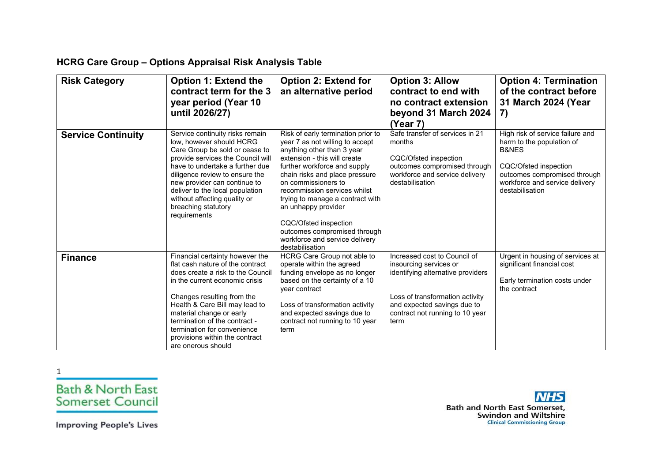## **HCRG Care Group – Options Appraisal Risk Analysis Table**

| <b>Risk Category</b>      | <b>Option 1: Extend the</b><br>contract term for the 3<br>year period (Year 10<br>until 2026/27)                                                                                                                                                                                                                                                               | <b>Option 2: Extend for</b><br>an alternative period                                                                                                                                                                                                                                                                                                                                                                                  | <b>Option 3: Allow</b><br>contract to end with<br>no contract extension<br>beyond 31 March 2024<br>(Year 7)                                                                                              | <b>Option 4: Termination</b><br>of the contract before<br>31 March 2024 (Year<br>7)                                                                                                             |
|---------------------------|----------------------------------------------------------------------------------------------------------------------------------------------------------------------------------------------------------------------------------------------------------------------------------------------------------------------------------------------------------------|---------------------------------------------------------------------------------------------------------------------------------------------------------------------------------------------------------------------------------------------------------------------------------------------------------------------------------------------------------------------------------------------------------------------------------------|----------------------------------------------------------------------------------------------------------------------------------------------------------------------------------------------------------|-------------------------------------------------------------------------------------------------------------------------------------------------------------------------------------------------|
| <b>Service Continuity</b> | Service continuity risks remain<br>low, however should HCRG<br>Care Group be sold or cease to<br>provide services the Council will<br>have to undertake a further due<br>diligence review to ensure the<br>new provider can continue to<br>deliver to the local population<br>without affecting quality or<br>breaching statutory<br>requirements              | Risk of early termination prior to<br>year 7 as not willing to accept<br>anything other than 3 year<br>extension - this will create<br>further workforce and supply<br>chain risks and place pressure<br>on commissioners to<br>recommission services whilst<br>trying to manage a contract with<br>an unhappy provider<br>CQC/Ofsted inspection<br>outcomes compromised through<br>workforce and service delivery<br>destabilisation | Safe transfer of services in 21<br>months<br>CQC/Ofsted inspection<br>outcomes compromised through<br>workforce and service delivery<br>destabilisation                                                  | High risk of service failure and<br>harm to the population of<br><b>B&amp;NES</b><br>CQC/Ofsted inspection<br>outcomes compromised through<br>workforce and service delivery<br>destabilisation |
| <b>Finance</b>            | Financial certainty however the<br>flat cash nature of the contract<br>does create a risk to the Council<br>in the current economic crisis<br>Changes resulting from the<br>Health & Care Bill may lead to<br>material change or early<br>termination of the contract -<br>termination for convenience<br>provisions within the contract<br>are onerous should | HCRG Care Group not able to<br>operate within the agreed<br>funding envelope as no longer<br>based on the certainty of a 10<br>year contract<br>Loss of transformation activity<br>and expected savings due to<br>contract not running to 10 year<br>term                                                                                                                                                                             | Increased cost to Council of<br>insourcing services or<br>identifying alternative providers<br>Loss of transformation activity<br>and expected savings due to<br>contract not running to 10 year<br>term | Urgent in housing of services at<br>significant financial cost<br>Early termination costs under<br>the contract                                                                                 |

1





**Improving People's Lives**